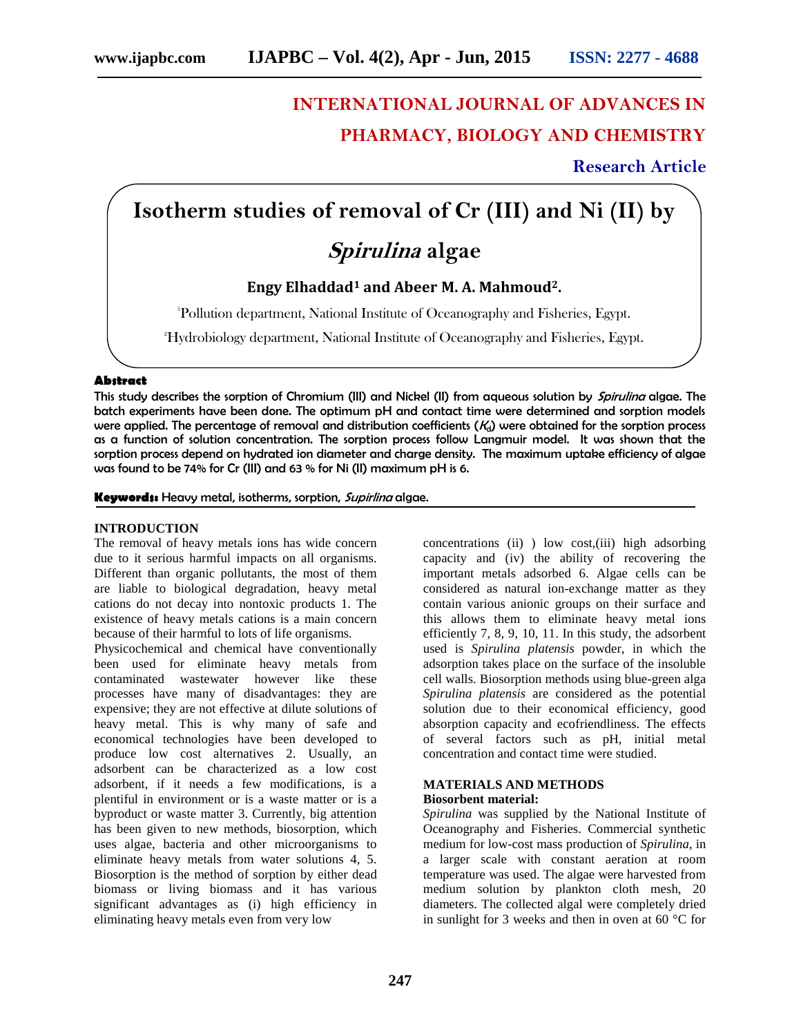# **INTERNATIONAL JOURNAL OF ADVANCES IN PHARMACY, BIOLOGY AND CHEMISTRY**

**Research Article**

## **Isotherm studies of removal of Cr (III) and Ni (II) by**

### *Spirulina* **algae**

### **Engy Elhaddad<sup>1</sup> and Abeer M. A. Mahmoud2.**

<sup>1</sup>Pollution department, National Institute of Oceanography and Fisheries, Egypt.

2Hydrobiology department, National Institute of Oceanography and Fisheries, Egypt.

#### **Abstract**

This study describes the sorption of Chromium (III) and Nickel (II) from aqueous solution by *Spirulina*algae. The batch experiments have been done. The optimum pH and contact time were determined and sorption models were applied. The percentage of removal and distribution coefficients ( $K_d$ ) were obtained for the sorption process as a function of solution concentration. The sorption process follow Langmuir model. It was shown that the sorption process depend on hydrated ion diameter and charge density. The maximum uptake efficiency of algae was found to be 74% for Cr (III) and 63 % for Ni (II) maximum pH is 6.

**Keywords:** Heavy metal, isotherms, sorption, *Supirlina* algae.

#### **INTRODUCTION**

The removal of heavy metals ions has wide concern due to it serious harmful impacts on all organisms. Different than organic pollutants, the most of them are liable to biological degradation, heavy metal cations do not decay into nontoxic products 1. The existence of heavy metals cations is a main concern because of their harmful to lots of life organisms.

Physicochemical and chemical have conventionally been used for eliminate heavy metals from contaminated wastewater however like these processes have many of disadvantages: they are expensive; they are not effective at dilute solutions of heavy metal. This is why many of safe and economical technologies have been developed to produce low cost alternatives 2. Usually, an adsorbent can be characterized as a low cost adsorbent, if it needs a few modifications, is a plentiful in environment or is a waste matter or is a byproduct or waste matter 3. Currently, big attention has been given to new methods, biosorption, which uses algae, bacteria and other microorganisms to eliminate heavy metals from water solutions 4, 5. Biosorption is the method of sorption by either dead biomass or living biomass and it has various significant advantages as (i) high efficiency in eliminating heavy metals even from very low

concentrations (ii) ) low cost,(iii) high adsorbing capacity and (iv) the ability of recovering the important metals adsorbed 6. Algae cells can be considered as natural ion-exchange matter as they contain various anionic groups on their surface and this allows them to eliminate heavy metal ions efficiently 7, 8, 9, 10, 11. In this study, the adsorbent used is *Spirulina platensis* powder, in which the adsorption takes place on the surface of the insoluble cell walls. Biosorption methods using blue-green alga *Spirulina platensis* are considered as the potential solution due to their economical efficiency, good absorption capacity and ecofriendliness. The effects of several factors such as pH, initial metal concentration and contact time were studied.

#### **MATERIALS AND METHODS Biosorbent material:**

*Spirulina* was supplied by the National Institute of Oceanography and Fisheries. Commercial synthetic medium for low-cost mass production of *Spirulina*, in a larger scale with constant aeration at room temperature was used. The algae were harvested from medium solution by plankton cloth mesh, 20 diameters. The collected algal were completely dried in sunlight for 3 weeks and then in oven at 60 °C for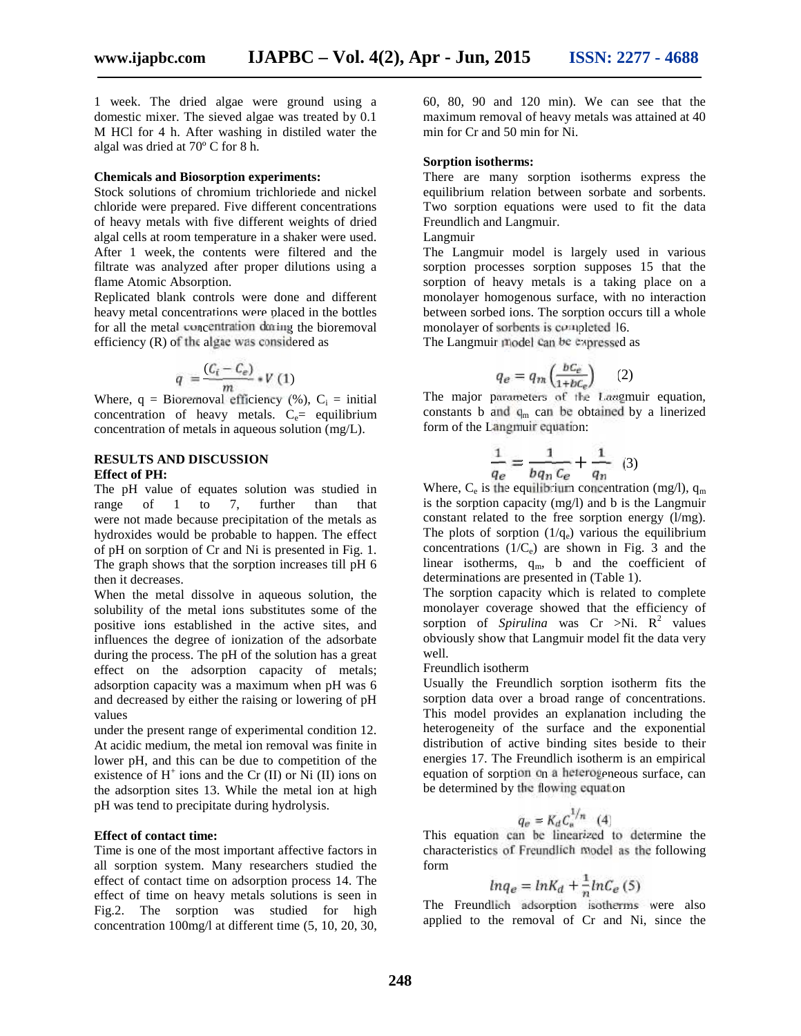1 week. The dried algae were ground using a domestic mixer. The sieved algae was treated by 0.1 M HCl for 4 h. After washing in distiled water the algal was dried at 70º C for 8 h.

#### **Chemicals and Biosorption experiments:**

Stock solutions of chromium trichloriede and nickel chloride were prepared. Five different concentrations of heavy metals with five different weights of dried algal cells at room temperature in a shaker were used. After 1 week, the contents were filtered and the filtrate was analyzed after proper dilutions using a flame Atomic Absorption.

Replicated blank controls were done and different heavy metal concentrations were placed in the bottles for all the metal concentration during the bioremoval efficiency (R) of the algae was considered as

$$
q = \frac{(C_i - C_e)}{m} * V(1)
$$

Where,  $q = Bioremoval efficiency$  (%),  $C_i = initial$ concentration of heavy metals.  $C_e$  equilibrium concentration of metals in aqueous solution (mg/L).

#### **RESULTS AND DISCUSSION Effect of PH:**

The pH value of equates solution was studied in range of 1 to 7, further than that were not made because precipitation of the metals as hydroxides would be probable to happen. The effect of pH on sorption of Cr and Ni is presented in Fig. 1. The graph shows that the sorption increases till pH 6 then it decreases.

When the metal dissolve in aqueous solution, the solubility of the metal ions substitutes some of the positive ions established in the active sites, and influences the degree of ionization of the adsorbate during the process. The pH of the solution has a great effect on the adsorption capacity of metals; adsorption capacity was a maximum when pH was 6 and decreased by either the raising or lowering of pH values

under the present range of experimental condition 12. At acidic medium, the metal ion removal was finite in lower pH, and this can be due to competition of the existence of  $H^+$  ions and the Cr (II) or Ni (II) ions on the adsorption sites 13. While the metal ion at high pH was tend to precipitate during hydrolysis.

#### **Effect of contact time:**

Time is one of the most important affective factors in all sorption system. Many researchers studied the effect of contact time on adsorption process 14. The effect of time on heavy metals solutions is seen in Fig.2. The sorption was studied for high concentration 100mg/l at different time (5, 10, 20, 30,

60, 80, 90 and 120 min). We can see that the maximum removal of heavy metals was attained at 40 min for Cr and 50 min for Ni.

#### **Sorption isotherms:**

There are many sorption isotherms express the equilibrium relation between sorbate and sorbents. Two sorption equations were used to fit the data Freundlich and Langmuir.

Langmuir

The Langmuir model is largely used in various sorption processes sorption supposes 15 that the sorption of heavy metals is a taking place on a monolayer homogenous surface, with no interaction between sorbed ions. The sorption occurs till a whole monolayer of sorbents is completed 16.

The Langmuir model can be expressed as

$$
q_e = q_m \left(\frac{bc_e}{1 + bc_e}\right) \qquad (2)
$$

The major parameters of the Langmuir equation, constants b and  $q_m$  can be obtained by a linerized form of the Langmuir equation:

$$
\frac{1}{q_e} = \frac{1}{b q_n c_e} + \frac{1}{q_n} \quad (3)
$$

Where,  $C_e$  is the equilibrium concentration (mg/l),  $q_m$ is the sorption capacity (mg/l) and b is the Langmuir constant related to the free sorption energy (l/mg). The plots of sorption  $(1/q_e)$  various the equilibrium concentrations  $(1/C_e)$  are shown in Fig. 3 and the linear isotherms,  $q_m$ , b and the coefficient of determinations are presented in (Table 1).

The sorption capacity which is related to complete monolayer coverage showed that the efficiency of sorption of *Spirulina* was  $Cr > Ni$ .  $R^2$  values obviously show that Langmuir model fit the data very well.

Freundlich isotherm

Usually the Freundlich sorption isotherm fits the sorption data over a broad range of concentrations. This model provides an explanation including the heterogeneity of the surface and the exponential distribution of active binding sites beside to their energies 17. The Freundlich isotherm is an empirical equation of sorption on a heterogeneous surface, can be determined by the flowing equation

$$
q_e = K_d C_e^{1/n} \quad (4)
$$

This equation can be linearized to determine the characteristics of Freundlich model as the following form

$$
ln q_e = ln K_d + \frac{1}{n} ln C_e \tag{5}
$$

The Freundlich adsorption isotherms were also applied to the removal of Cr and Ni, since the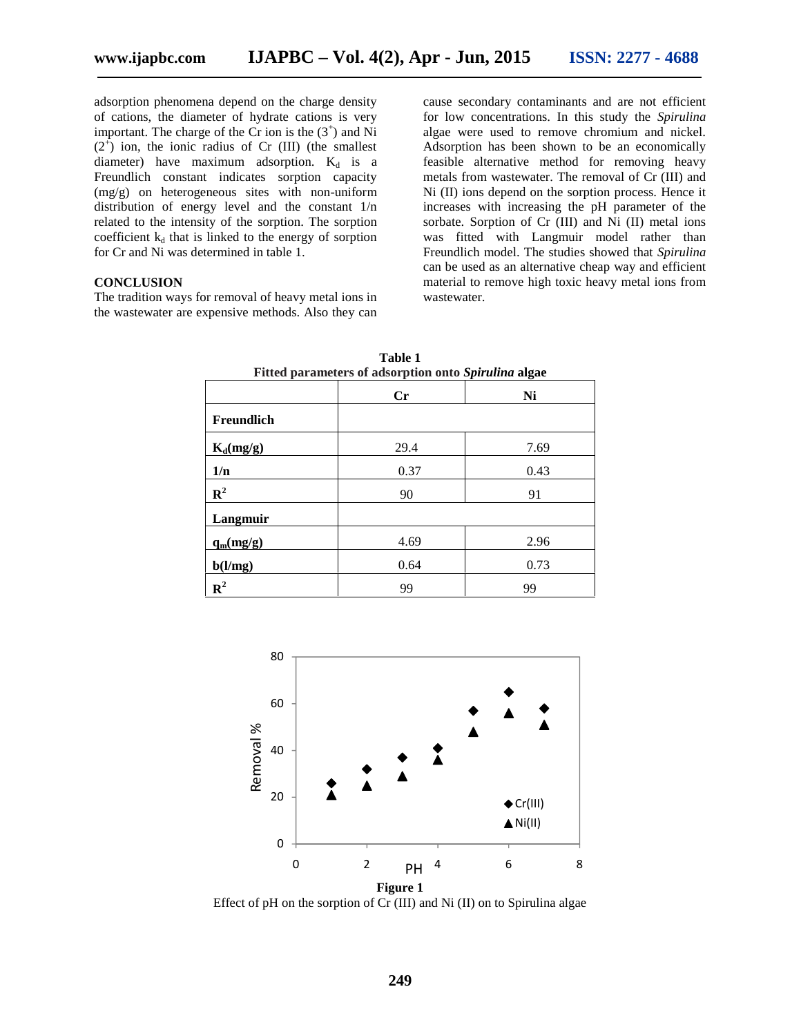adsorption phenomena depend on the charge density of cations, the diameter of hydrate cations is very important. The charge of the  $Cr$  ion is the  $(3^+)$  and Ni  $(2^+)$  ion, the ionic radius of Cr (III) (the smallest diameter) have maximum adsorption.  $K_d$  is a Freundlich constant indicates sorption capacity (mg/g) on heterogeneous sites with non-uniform distribution of energy level and the constant 1/n related to the intensity of the sorption. The sorption coefficient  $k_d$  that is linked to the energy of sorption for Cr and Ni was determined in table 1.

#### **CONCLUSION**

The tradition ways for removal of heavy metal ions in the wastewater are expensive methods. Also they can cause secondary contaminants and are not efficient for low concentrations. In this study the *Spirulina* algae were used to remove chromium and nickel. Adsorption has been shown to be an economically feasible alternative method for removing heavy metals from wastewater. The removal of Cr (III) and Ni (II) ions depend on the sorption process. Hence it increases with increasing the pH parameter of the sorbate. Sorption of Cr (III) and Ni (II) metal ions was fitted with Langmuir model rather than Freundlich model. The studies showed that *Spirulina* can be used as an alternative cheap way and efficient material to remove high toxic heavy metal ions from wastewater.

| Fitted parameters of adsorption onto Spirulina algae |                        |      |
|------------------------------------------------------|------------------------|------|
|                                                      | $\mathbf{C}\mathbf{r}$ | Ni   |
| Freundlich                                           |                        |      |
| $K_d(mg/g)$                                          | 29.4                   | 7.69 |
| 1/n                                                  | 0.37                   | 0.43 |
| $\mathbf{R}^2$                                       | 90                     | 91   |
| Langmuir                                             |                        |      |
| $q_m(mg/g)$                                          | 4.69                   | 2.96 |
| b(l/mg)                                              | 0.64                   | 0.73 |
| $\mathbf{R}^2$                                       | 99                     | 99   |

**Table 1 Fitted parameters of adsorption onto** *Spirulina* **algae**



Effect of pH on the sorption of Cr (III) and Ni (II) on to Spirulina algae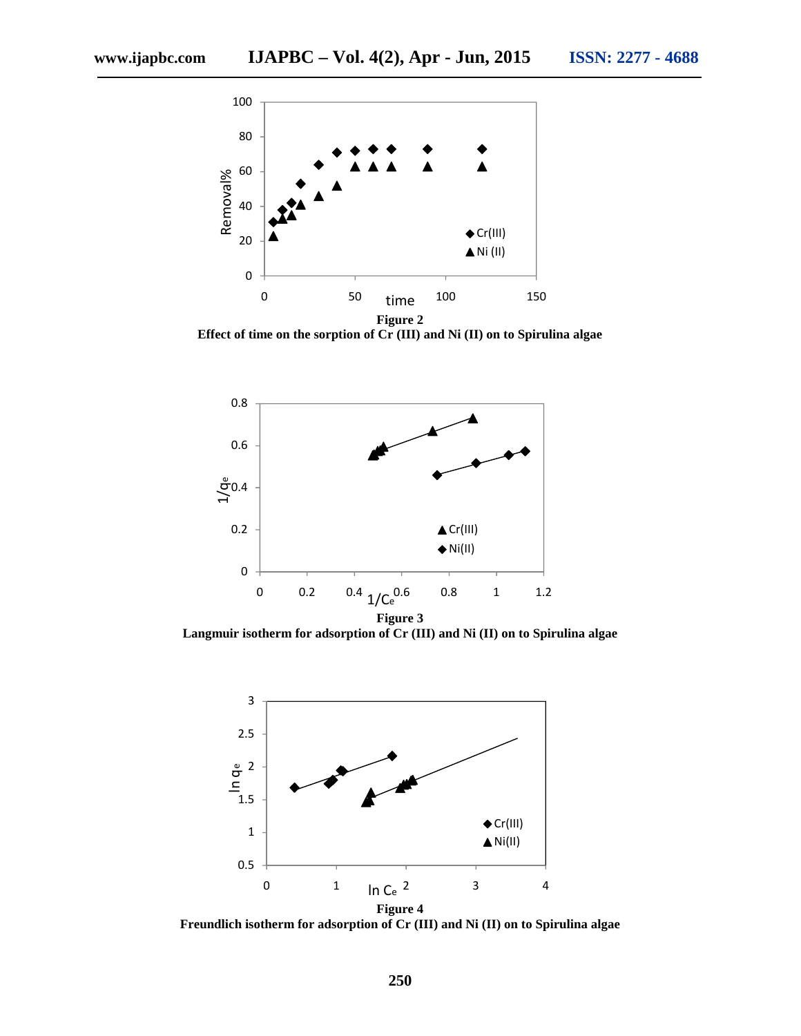

**Effect of time on the sorption of Cr (III) and Ni (II) on to Spirulina algae**



**Langmuir isotherm for adsorption of Cr (III) and Ni (II) on to Spirulina algae**



**Freundlich isotherm for adsorption of Cr (III) and Ni (II) on to Spirulina algae**